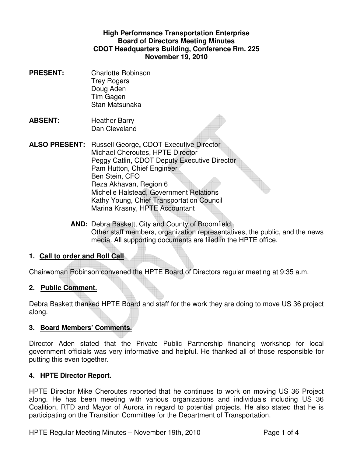### **High Performance Transportation Enterprise Board of Directors Meeting Minutes CDOT Headquarters Building, Conference Rm. 225 November 19, 2010**

- **PRESENT:** Charlotte Robinson Trey Rogers Doug Aden Tim Gagen Stan Matsunaka
- **ABSENT:** Heather Barry Dan Cleveland
- **ALSO PRESENT:** Russell George**,** CDOT Executive Director Michael Cheroutes, HPTE Director Peggy Catlin, CDOT Deputy Executive Director Pam Hutton, Chief Engineer Ben Stein, CFO Reza Akhavan, Region 6 Michelle Halstead, Government Relations Kathy Young, Chief Transportation Council Marina Krasny, HPTE Accountant
	- **AND:** Debra Baskett, City and County of Broomfield, Other staff members, organization representatives, the public, and the news media. All supporting documents are filed in the HPTE office.

### **1. Call to order and Roll Call**

Chairwoman Robinson convened the HPTE Board of Directors regular meeting at 9:35 a.m.

## **2. Public Comment.**

Debra Baskett thanked HPTE Board and staff for the work they are doing to move US 36 project along.

### **3. Board Members' Comments.**

Director Aden stated that the Private Public Partnership financing workshop for local government officials was very informative and helpful. He thanked all of those responsible for putting this even together.

### **4. HPTE Director Report.**

HPTE Director Mike Cheroutes reported that he continues to work on moving US 36 Project along. He has been meeting with various organizations and individuals including US 36 Coalition, RTD and Mayor of Aurora in regard to potential projects. He also stated that he is participating on the Transition Committee for the Department of Transportation.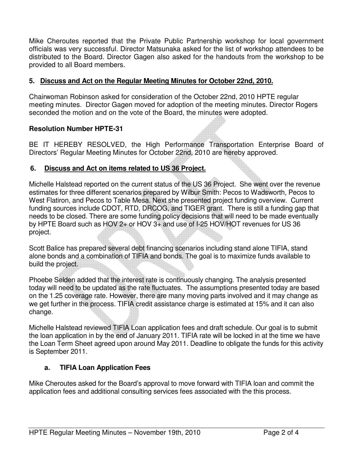Mike Cheroutes reported that the Private Public Partnership workshop for local government officials was very successful. Director Matsunaka asked for the list of workshop attendees to be distributed to the Board. Director Gagen also asked for the handouts from the workshop to be provided to all Board members.

## **5. Discuss and Act on the Regular Meeting Minutes for October 22nd, 2010.**

Chairwoman Robinson asked for consideration of the October 22nd, 2010 HPTE regular meeting minutes. Director Gagen moved for adoption of the meeting minutes. Director Rogers seconded the motion and on the vote of the Board, the minutes were adopted.

### **Resolution Number HPTE-31**

BE IT HEREBY RESOLVED, the High Performance Transportation Enterprise Board of Directors' Regular Meeting Minutes for October 22nd, 2010 are hereby approved.

### **6. Discuss and Act on items related to US 36 Project.**

Michelle Halstead reported on the current status of the US 36 Project. She went over the revenue estimates for three different scenarios prepared by Wilbur Smith: Pecos to Wadsworth, Pecos to West Flatiron, and Pecos to Table Mesa. Next she presented project funding overview. Current funding sources include CDOT, RTD, DRCOG, and TIGER grant. There is still a funding gap that needs to be closed. There are some funding policy decisions that will need to be made eventually by HPTE Board such as HOV 2+ or HOV 3+ and use of I-25 HOV/HOT revenues for US 36 project.

Scott Balice has prepared several debt financing scenarios including stand alone TIFIA, stand alone bonds and a combination of TIFIA and bonds. The goal is to maximize funds available to build the project.

Phoebe Selden added that the interest rate is continuously changing. The analysis presented today will need to be updated as the rate fluctuates. The assumptions presented today are based on the 1.25 coverage rate. However, there are many moving parts involved and it may change as we get further in the process. TIFIA credit assistance charge is estimated at 15% and it can also change.

Michelle Halstead reviewed TIFIA Loan application fees and draft schedule. Our goal is to submit the loan application in by the end of January 2011. TIFIA rate will be locked in at the time we have the Loan Term Sheet agreed upon around May 2011. Deadline to obligate the funds for this activity is September 2011.

#### **a. TIFIA Loan Application Fees**

Mike Cheroutes asked for the Board's approval to move forward with TIFIA loan and commit the application fees and additional consulting services fees associated with the this process.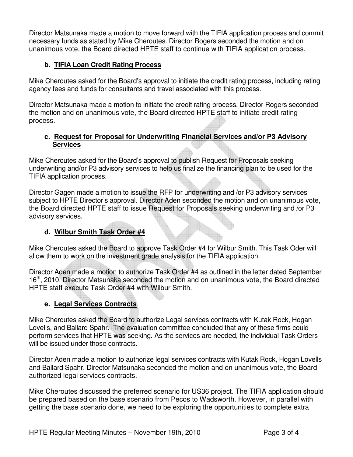Director Matsunaka made a motion to move forward with the TIFIA application process and commit necessary funds as stated by Mike Cheroutes. Director Rogers seconded the motion and on unanimous vote, the Board directed HPTE staff to continue with TIFIA application process.

# **b. TIFIA Loan Credit Rating Process**

Mike Cheroutes asked for the Board's approval to initiate the credit rating process, including rating agency fees and funds for consultants and travel associated with this process.

Director Matsunaka made a motion to initiate the credit rating process. Director Rogers seconded the motion and on unanimous vote, the Board directed HPTE staff to initiate credit rating process.

### **c. Request for Proposal for Underwriting Financial Services and/or P3 Advisory Services**

Mike Cheroutes asked for the Board's approval to publish Request for Proposals seeking underwriting and/or P3 advisory services to help us finalize the financing plan to be used for the TIFIA application process.

Director Gagen made a motion to issue the RFP for underwriting and /or P3 advisory services subject to HPTE Director's approval. Director Aden seconded the motion and on unanimous vote, the Board directed HPTE staff to issue Request for Proposals seeking underwriting and /or P3 advisory services.

## **d. Wilbur Smith Task Order #4**

Mike Cheroutes asked the Board to approve Task Order #4 for Wilbur Smith. This Task Oder will allow them to work on the investment grade analysis for the TIFIA application.

Director Aden made a motion to authorize Task Order #4 as outlined in the letter dated September 16<sup>th</sup>, 2010. Director Matsunaka seconded the motion and on unanimous vote, the Board directed HPTE staff execute Task Order #4 with Wilbur Smith.

## **e. Legal Services Contracts**

Mike Cheroutes asked the Board to authorize Legal services contracts with Kutak Rock, Hogan Lovells, and Ballard Spahr. The evaluation committee concluded that any of these firms could perform services that HPTE was seeking. As the services are needed, the individual Task Orders will be issued under those contracts.

Director Aden made a motion to authorize legal services contracts with Kutak Rock, Hogan Lovells and Ballard Spahr. Director Matsunaka seconded the motion and on unanimous vote, the Board authorized legal services contracts.

Mike Cheroutes discussed the preferred scenario for US36 project. The TIFIA application should be prepared based on the base scenario from Pecos to Wadsworth. However, in parallel with getting the base scenario done, we need to be exploring the opportunities to complete extra